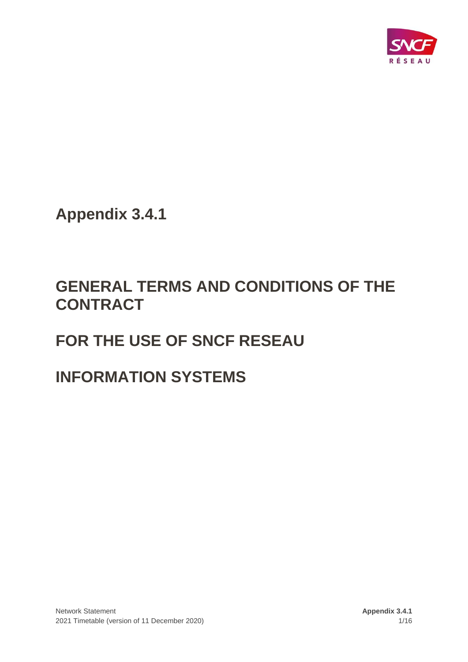

**Appendix 3.4.1**

# **GENERAL TERMS AND CONDITIONS OF THE CONTRACT**

# **FOR THE USE OF SNCF RESEAU**

# **INFORMATION SYSTEMS**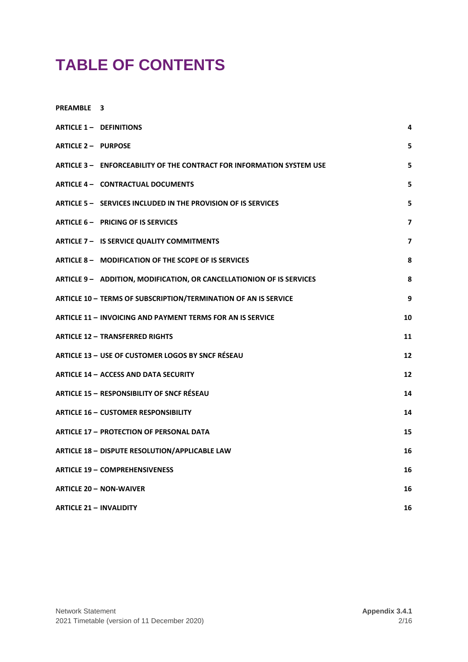# **TABLE OF CONTENTS**

**[PREAMBLE](#page-2-0) 3**

| ARTICLE 1 - DEFINITIONS                                               | 4              |
|-----------------------------------------------------------------------|----------------|
| <b>ARTICLE 2 - PURPOSE</b>                                            | 5              |
| ARTICLE 3 - ENFORCEABILITY OF THE CONTRACT FOR INFORMATION SYSTEM USE | 5              |
| ARTICLE 4 - CONTRACTUAL DOCUMENTS                                     | 5              |
| ARTICLE 5 - SERVICES INCLUDED IN THE PROVISION OF IS SERVICES         | 5              |
| ARTICLE 6 - PRICING OF IS SERVICES                                    | $\overline{7}$ |
| ARTICLE 7 - IS SERVICE QUALITY COMMITMENTS                            | 7              |
| ARTICLE 8 - MODIFICATION OF THE SCOPE OF IS SERVICES                  | 8              |
| ARTICLE 9 - ADDITION, MODIFICATION, OR CANCELLATIONION OF IS SERVICES | 8              |
| ARTICLE 10 - TERMS OF SUBSCRIPTION/TERMINATION OF AN IS SERVICE       | 9              |
| <b>ARTICLE 11 - INVOICING AND PAYMENT TERMS FOR AN IS SERVICE</b>     | 10             |
| <b>ARTICLE 12 - TRANSFERRED RIGHTS</b>                                | 11             |
| ARTICLE 13 - USE OF CUSTOMER LOGOS BY SNCF RÉSEAU                     | 12             |
| <b>ARTICLE 14 - ACCESS AND DATA SECURITY</b>                          | 12             |
| <b>ARTICLE 15 - RESPONSIBILITY OF SNCF RÉSEAU</b>                     | 14             |
| <b>ARTICLE 16 - CUSTOMER RESPONSIBILITY</b>                           | 14             |
| <b>ARTICLE 17 - PROTECTION OF PERSONAL DATA</b>                       | 15             |
| ARTICLE 18 - DISPUTE RESOLUTION/APPLICABLE LAW                        | 16             |
| <b>ARTICLE 19 - COMPREHENSIVENESS</b>                                 | 16             |
| <b>ARTICLE 20 - NON-WAIVER</b>                                        | 16             |
| <b>ARTICLE 21 - INVALIDITY</b>                                        | 16             |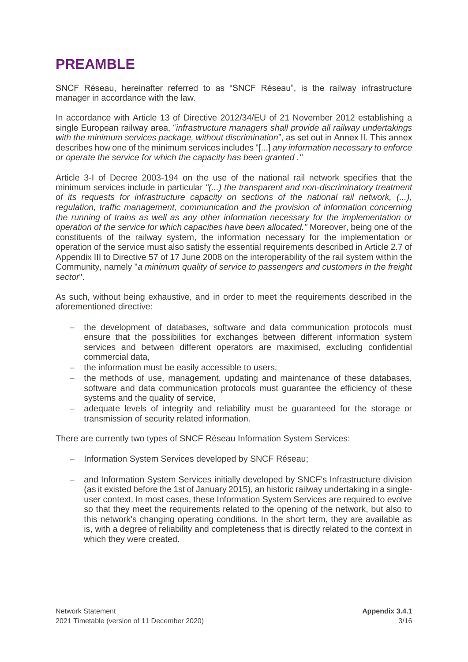# <span id="page-2-0"></span>**PREAMBLE**

SNCF Réseau, hereinafter referred to as "SNCF Réseau", is the railway infrastructure manager in accordance with the law.

In accordance with Article 13 of Directive 2012/34/EU of 21 November 2012 establishing a single European railway area, "*infrastructure managers shall provide all railway undertakings with the minimum services package, without discrimination*", as set out in Annex II. This annex describes how one of the minimum services includes "[...] *any information necessary to enforce or operate the service for which the capacity has been granted ."*

Article 3-I of Decree 2003-194 on the use of the national rail network specifies that the minimum services include in particular *"(...) the transparent and non-discriminatory treatment of its requests for infrastructure capacity on sections of the national rail network, (...), regulation, traffic management, communication and the provision of information concerning the running of trains as well as any other information necessary for the implementation or operation of the service for which capacities have been allocated."* Moreover, being one of the constituents of the railway system, the information necessary for the implementation or operation of the service must also satisfy the essential requirements described in Article 2.7 of Appendix III to Directive 57 of 17 June 2008 on the interoperability of the rail system within the Community, namely "*a minimum quality of service to passengers and customers in the freight sector*".

As such, without being exhaustive, and in order to meet the requirements described in the aforementioned directive:

- − the development of databases, software and data communication protocols must ensure that the possibilities for exchanges between different information system services and between different operators are maximised, excluding confidential commercial data,
- − the information must be easily accessible to users,
- − the methods of use, management, updating and maintenance of these databases, software and data communication protocols must guarantee the efficiency of these systems and the quality of service,
- − adequate levels of integrity and reliability must be guaranteed for the storage or transmission of security related information.

There are currently two types of SNCF Réseau Information System Services:

- − Information System Services developed by SNCF Réseau;
- − and Information System Services initially developed by SNCF's Infrastructure division (as it existed before the 1st of January 2015), an historic railway undertaking in a singleuser context. In most cases, these Information System Services are required to evolve so that they meet the requirements related to the opening of the network, but also to this network's changing operating conditions. In the short term, they are available as is, with a degree of reliability and completeness that is directly related to the context in which they were created.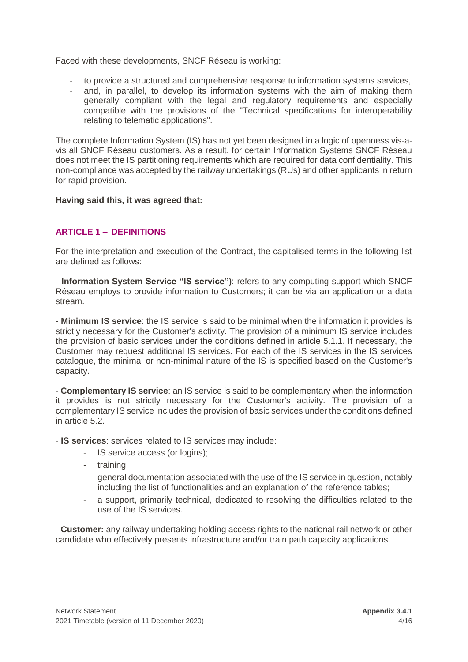Faced with these developments, SNCF Réseau is working:

- to provide a structured and comprehensive response to information systems services,
- and, in parallel, to develop its information systems with the aim of making them generally compliant with the legal and regulatory requirements and especially compatible with the provisions of the "Technical specifications for interoperability relating to telematic applications".

The complete Information System (IS) has not yet been designed in a logic of openness vis-avis all SNCF Réseau customers. As a result, for certain Information Systems SNCF Réseau does not meet the IS partitioning requirements which are required for data confidentiality. This non-compliance was accepted by the railway undertakings (RUs) and other applicants in return for rapid provision.

#### **Having said this, it was agreed that:**

# <span id="page-3-0"></span>**ARTICLE 1 – DEFINITIONS**

For the interpretation and execution of the Contract, the capitalised terms in the following list are defined as follows:

- **Information System Service "IS service")**: refers to any computing support which SNCF Réseau employs to provide information to Customers; it can be via an application or a data stream.

- **Minimum IS service**: the IS service is said to be minimal when the information it provides is strictly necessary for the Customer's activity. The provision of a minimum IS service includes the provision of basic services under the conditions defined in article 5.1.1. If necessary, the Customer may request additional IS services. For each of the IS services in the IS services catalogue, the minimal or non-minimal nature of the IS is specified based on the Customer's capacity.

- **Complementary IS service**: an IS service is said to be complementary when the information it provides is not strictly necessary for the Customer's activity. The provision of a complementary IS service includes the provision of basic services under the conditions defined in article 5.2.

- **IS services**: services related to IS services may include:

- IS service access (or logins);
- training;
- general documentation associated with the use of the IS service in question, notably including the list of functionalities and an explanation of the reference tables;
- a support, primarily technical, dedicated to resolving the difficulties related to the use of the IS services.

- **Customer:** any railway undertaking holding access rights to the national rail network or other candidate who effectively presents infrastructure and/or train path capacity applications.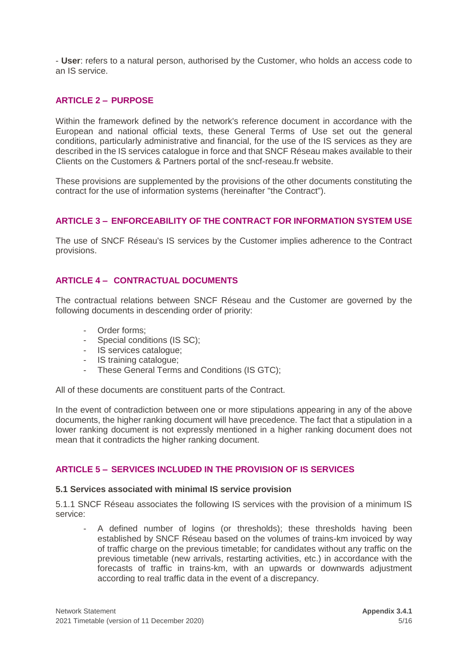- **User**: refers to a natural person, authorised by the Customer, who holds an access code to an IS service.

### <span id="page-4-0"></span>**ARTICLE 2 – PURPOSE**

Within the framework defined by the network's reference document in accordance with the European and national official texts, these General Terms of Use set out the general conditions, particularly administrative and financial, for the use of the IS services as they are described in the IS services catalogue in force and that SNCF Réseau makes available to their Clients on the Customers & Partners portal of the sncf-reseau.fr website.

These provisions are supplemented by the provisions of the other documents constituting the contract for the use of information systems (hereinafter "the Contract").

### <span id="page-4-1"></span>**ARTICLE 3 – ENFORCEABILITY OF THE CONTRACT FOR INFORMATION SYSTEM USE**

The use of SNCF Réseau's IS services by the Customer implies adherence to the Contract provisions.

### <span id="page-4-2"></span>**ARTICLE 4 – CONTRACTUAL DOCUMENTS**

The contractual relations between SNCF Réseau and the Customer are governed by the following documents in descending order of priority:

- Order forms:
- Special conditions (IS SC);
- IS services catalogue;
- IS training catalogue;
- These General Terms and Conditions (IS GTC);

All of these documents are constituent parts of the Contract.

In the event of contradiction between one or more stipulations appearing in any of the above documents, the higher ranking document will have precedence. The fact that a stipulation in a lower ranking document is not expressly mentioned in a higher ranking document does not mean that it contradicts the higher ranking document.

# <span id="page-4-3"></span>**ARTICLE 5 – SERVICES INCLUDED IN THE PROVISION OF IS SERVICES**

#### **5.1 Services associated with minimal IS service provision**

5.1.1 SNCF Réseau associates the following IS services with the provision of a minimum IS service:

A defined number of logins (or thresholds); these thresholds having been established by SNCF Réseau based on the volumes of trains-km invoiced by way of traffic charge on the previous timetable; for candidates without any traffic on the previous timetable (new arrivals, restarting activities, etc.) in accordance with the forecasts of traffic in trains-km, with an upwards or downwards adjustment according to real traffic data in the event of a discrepancy.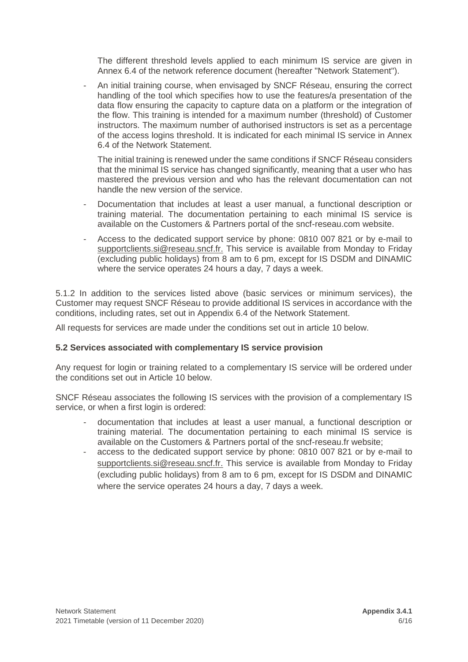The different threshold levels applied to each minimum IS service are given in Annex 6.4 of the network reference document (hereafter "Network Statement").

- An initial training course, when envisaged by SNCF Réseau, ensuring the correct handling of the tool which specifies how to use the features/a presentation of the data flow ensuring the capacity to capture data on a platform or the integration of the flow. This training is intended for a maximum number (threshold) of Customer instructors. The maximum number of authorised instructors is set as a percentage of the access logins threshold. It is indicated for each minimal IS service in Annex 6.4 of the Network Statement.

The initial training is renewed under the same conditions if SNCF Réseau considers that the minimal IS service has changed significantly, meaning that a user who has mastered the previous version and who has the relevant documentation can not handle the new version of the service.

- Documentation that includes at least a user manual, a functional description or training material. The documentation pertaining to each minimal IS service is available on the Customers & Partners portal of the sncf-reseau.com website.
- Access to the dedicated support service by phone: 0810 007 821 or by e-mail to [supportclients.si@reseau.sncf.fr.](mailto:supportclients.si@reseau.sncf.fr) This service is available from Monday to Friday (excluding public holidays) from 8 am to 6 pm, except for IS DSDM and DINAMIC where the service operates 24 hours a day, 7 days a week.

5.1.2 In addition to the services listed above (basic services or minimum services), the Customer may request SNCF Réseau to provide additional IS services in accordance with the conditions, including rates, set out in Appendix 6.4 of the Network Statement.

All requests for services are made under the conditions set out in article 10 below.

#### **5.2 Services associated with complementary IS service provision**

Any request for login or training related to a complementary IS service will be ordered under the conditions set out in Article 10 below.

SNCF Réseau associates the following IS services with the provision of a complementary IS service, or when a first login is ordered:

- documentation that includes at least a user manual, a functional description or training material. The documentation pertaining to each minimal IS service is available on the Customers & Partners portal of the sncf-reseau.fr website;
- access to the dedicated support service by phone: 0810 007 821 or by e-mail to [supportclients.si@reseau.sncf.fr.](mailto:supportclients.si@reseau.sncf.fr) This service is available from Monday to Friday (excluding public holidays) from 8 am to 6 pm, except for IS DSDM and DINAMIC where the service operates 24 hours a day, 7 days a week.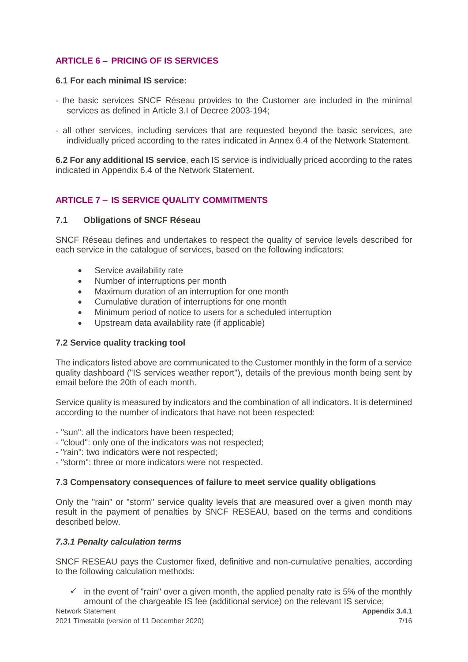# <span id="page-6-0"></span>**ARTICLE 6 – PRICING OF IS SERVICES**

#### **6.1 For each minimal IS service:**

- the basic services SNCF Réseau provides to the Customer are included in the minimal services as defined in Article 3.I of Decree 2003-194;
- all other services, including services that are requested beyond the basic services, are individually priced according to the rates indicated in Annex 6.4 of the Network Statement.

**6.2 For any additional IS service**, each IS service is individually priced according to the rates indicated in Appendix 6.4 of the Network Statement.

# <span id="page-6-1"></span>**ARTICLE 7 – IS SERVICE QUALITY COMMITMENTS**

#### **7.1 Obligations of SNCF Réseau**

SNCF Réseau defines and undertakes to respect the quality of service levels described for each service in the catalogue of services, based on the following indicators:

- Service availability rate
- Number of interruptions per month
- Maximum duration of an interruption for one month
- Cumulative duration of interruptions for one month
- Minimum period of notice to users for a scheduled interruption
- Upstream data availability rate (if applicable)

#### **7.2 Service quality tracking tool**

The indicators listed above are communicated to the Customer monthly in the form of a service quality dashboard ("IS services weather report"), details of the previous month being sent by email before the 20th of each month.

Service quality is measured by indicators and the combination of all indicators. It is determined according to the number of indicators that have not been respected:

- "sun": all the indicators have been respected;
- "cloud": only one of the indicators was not respected;
- "rain": two indicators were not respected;
- "storm": three or more indicators were not respected.

#### **7.3 Compensatory consequences of failure to meet service quality obligations**

Only the "rain" or "storm" service quality levels that are measured over a given month may result in the payment of penalties by SNCF RESEAU, based on the terms and conditions described below.

#### *7.3.1 Penalty calculation terms*

SNCF RESEAU pays the Customer fixed, definitive and non-cumulative penalties, according to the following calculation methods:

 $\checkmark$  in the event of "rain" over a given month, the applied penalty rate is 5% of the monthly amount of the chargeable IS fee (additional service) on the relevant IS service;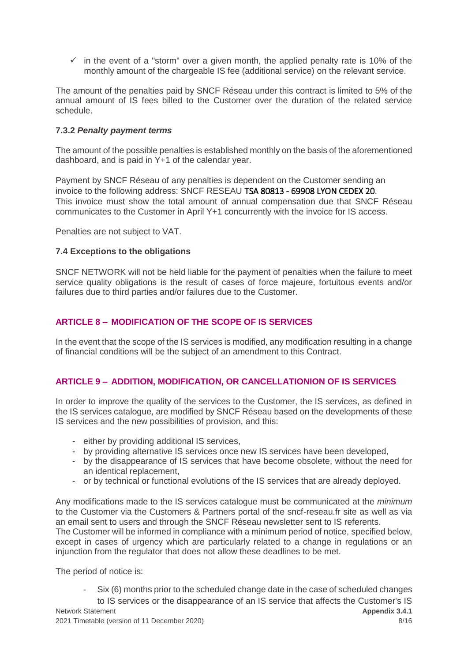$\checkmark$  in the event of a "storm" over a given month, the applied penalty rate is 10% of the monthly amount of the chargeable IS fee (additional service) on the relevant service.

The amount of the penalties paid by SNCF Réseau under this contract is limited to 5% of the annual amount of IS fees billed to the Customer over the duration of the related service schedule.

#### **7.3.2** *Penalty payment terms*

The amount of the possible penalties is established monthly on the basis of the aforementioned dashboard, and is paid in Y+1 of the calendar year.

Payment by SNCF Réseau of any penalties is dependent on the Customer sending an invoice to the following address: SNCF RESEAU TSA 80813 - 69908 LYON CEDEX 20. This invoice must show the total amount of annual compensation due that SNCF Réseau communicates to the Customer in April Y+1 concurrently with the invoice for IS access.

Penalties are not subject to VAT.

#### **7.4 Exceptions to the obligations**

SNCF NETWORK will not be held liable for the payment of penalties when the failure to meet service quality obligations is the result of cases of force majeure, fortuitous events and/or failures due to third parties and/or failures due to the Customer.

# <span id="page-7-0"></span>**ARTICLE 8 – MODIFICATION OF THE SCOPE OF IS SERVICES**

In the event that the scope of the IS services is modified, any modification resulting in a change of financial conditions will be the subject of an amendment to this Contract.

# <span id="page-7-1"></span>**ARTICLE 9 – ADDITION, MODIFICATION, OR CANCELLATIONION OF IS SERVICES**

In order to improve the quality of the services to the Customer, the IS services, as defined in the IS services catalogue, are modified by SNCF Réseau based on the developments of these IS services and the new possibilities of provision, and this:

- either by providing additional IS services,
- by providing alternative IS services once new IS services have been developed,
- by the disappearance of IS services that have become obsolete, without the need for an identical replacement,
- or by technical or functional evolutions of the IS services that are already deployed.

Any modifications made to the IS services catalogue must be communicated at the *minimum* to the Customer via the Customers & Partners portal of the sncf-reseau.fr site as well as via an email sent to users and through the SNCF Réseau newsletter sent to IS referents. The Customer will be informed in compliance with a minimum period of notice, specified below, except in cases of urgency which are particularly related to a change in regulations or an injunction from the regulator that does not allow these deadlines to be met.

The period of notice is:

Network Statement **Apple 19th Contract Contract Contract Contract Contract Contract Contract Contract Contract Contract Contract Contract Contract Contract Contract Contract Contract Contract Contract Contract Contract Con** Six (6) months prior to the scheduled change date in the case of scheduled changes to IS services or the disappearance of an IS service that affects the Customer's IS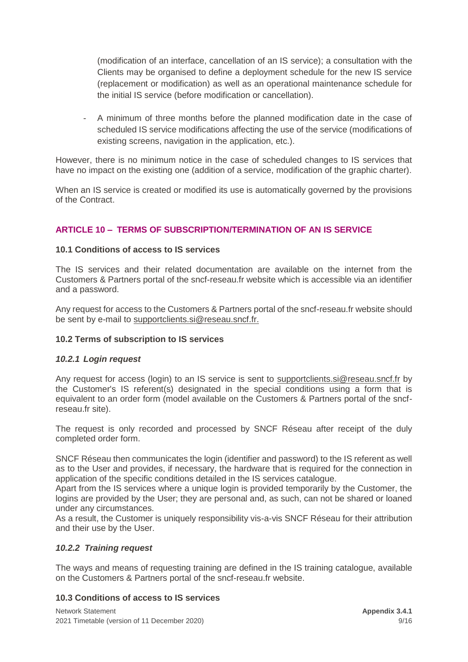(modification of an interface, cancellation of an IS service); a consultation with the Clients may be organised to define a deployment schedule for the new IS service (replacement or modification) as well as an operational maintenance schedule for the initial IS service (before modification or cancellation).

- A minimum of three months before the planned modification date in the case of scheduled IS service modifications affecting the use of the service (modifications of existing screens, navigation in the application, etc.).

However, there is no minimum notice in the case of scheduled changes to IS services that have no impact on the existing one (addition of a service, modification of the graphic charter).

When an IS service is created or modified its use is automatically governed by the provisions of the Contract.

# <span id="page-8-0"></span>**ARTICLE 10 – TERMS OF SUBSCRIPTION/TERMINATION OF AN IS SERVICE**

### **10.1 Conditions of access to IS services**

The IS services and their related documentation are available on the internet from the Customers & Partners portal of the sncf-reseau.fr website which is accessible via an identifier and a password.

Any request for access to the Customers & Partners portal of the sncf-reseau.fr website should be sent by e-mail to [supportclients.si@reseau.sncf.fr.](mailto:supportclients.si@reseau.sncf.fr)

#### **10.2 Terms of subscription to IS services**

#### *10.2.1 Login request*

Any request for access (login) to an IS service is sent to [supportclients.si@reseau.sncf.fr](mailto:supportclients.si@reseau.sncf.fr) by the Customer's IS referent(s) designated in the special conditions using a form that is equivalent to an order form (model available on the Customers & Partners portal of the sncfreseau.fr site).

The request is only recorded and processed by SNCF Réseau after receipt of the duly completed order form.

SNCF Réseau then communicates the login (identifier and password) to the IS referent as well as to the User and provides, if necessary, the hardware that is required for the connection in application of the specific conditions detailed in the IS services catalogue.

Apart from the IS services where a unique login is provided temporarily by the Customer, the logins are provided by the User; they are personal and, as such, can not be shared or loaned under any circumstances.

As a result, the Customer is uniquely responsibility vis-a-vis SNCF Réseau for their attribution and their use by the User.

#### *10.2.2 Training request*

The ways and means of requesting training are defined in the IS training catalogue, available on the Customers & Partners portal of the sncf-reseau.fr website.

#### **10.3 Conditions of access to IS services**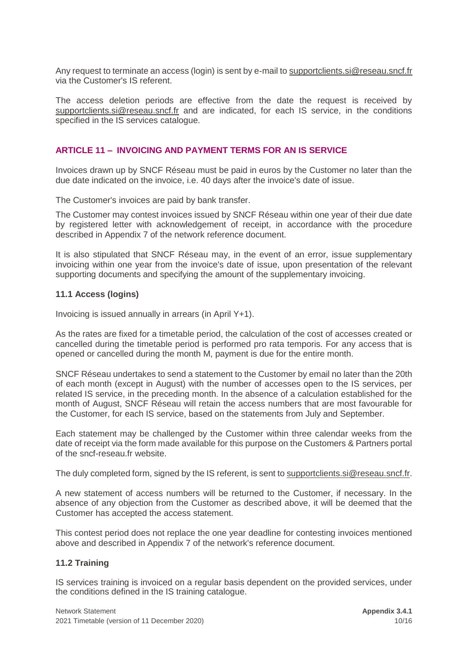Any request to terminate an access (login) is sent by e-mail to [supportclients.si@reseau.sncf.fr](mailto:supportclients.si@reseau.sncf.fr) via the Customer's IS referent.

The access deletion periods are effective from the date the request is received by [supportclients.si@reseau.sncf.fr](mailto:supportclients.si@reseau.sncf.fr) and are indicated, for each IS service, in the conditions specified in the IS services catalogue.

#### <span id="page-9-0"></span>**ARTICLE 11 – INVOICING AND PAYMENT TERMS FOR AN IS SERVICE**

Invoices drawn up by SNCF Réseau must be paid in euros by the Customer no later than the due date indicated on the invoice, i.e. 40 days after the invoice's date of issue.

The Customer's invoices are paid by bank transfer.

The Customer may contest invoices issued by SNCF Réseau within one year of their due date by registered letter with acknowledgement of receipt, in accordance with the procedure described in Appendix 7 of the network reference document.

It is also stipulated that SNCF Réseau may, in the event of an error, issue supplementary invoicing within one year from the invoice's date of issue, upon presentation of the relevant supporting documents and specifying the amount of the supplementary invoicing.

#### **11.1 Access (logins)**

Invoicing is issued annually in arrears (in April Y+1).

As the rates are fixed for a timetable period, the calculation of the cost of accesses created or cancelled during the timetable period is performed pro rata temporis. For any access that is opened or cancelled during the month M, payment is due for the entire month.

SNCF Réseau undertakes to send a statement to the Customer by email no later than the 20th of each month (except in August) with the number of accesses open to the IS services, per related IS service, in the preceding month. In the absence of a calculation established for the month of August, SNCF Réseau will retain the access numbers that are most favourable for the Customer, for each IS service, based on the statements from July and September.

Each statement may be challenged by the Customer within three calendar weeks from the date of receipt via the form made available for this purpose on the Customers & Partners portal of the sncf-reseau.fr website.

The duly completed form, signed by the IS referent, is sent t[o supportclients.si@reseau.sncf.fr.](mailto:supportclients.si@reseau.sncf.fr)

A new statement of access numbers will be returned to the Customer, if necessary. In the absence of any objection from the Customer as described above, it will be deemed that the Customer has accepted the access statement.

This contest period does not replace the one year deadline for contesting invoices mentioned above and described in Appendix 7 of the network's reference document.

#### **11.2 Training**

IS services training is invoiced on a regular basis dependent on the provided services, under the conditions defined in the IS training catalogue.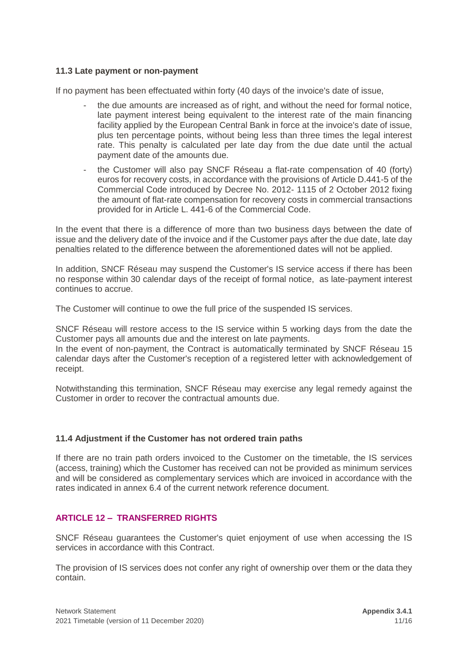### **11.3 Late payment or non-payment**

If no payment has been effectuated within forty (40 days of the invoice's date of issue,

- the due amounts are increased as of right, and without the need for formal notice, late payment interest being equivalent to the interest rate of the main financing facility applied by the European Central Bank in force at the invoice's date of issue, plus ten percentage points, without being less than three times the legal interest rate. This penalty is calculated per late day from the due date until the actual payment date of the amounts due.
- the Customer will also pay SNCF Réseau a flat-rate compensation of 40 (forty) euros for recovery costs, in accordance with the provisions of Article D.441-5 of the Commercial Code introduced by Decree No. 2012- 1115 of 2 October 2012 fixing the amount of flat-rate compensation for recovery costs in commercial transactions provided for in Article L. 441-6 of the Commercial Code.

In the event that there is a difference of more than two business days between the date of issue and the delivery date of the invoice and if the Customer pays after the due date, late day penalties related to the difference between the aforementioned dates will not be applied.

In addition, SNCF Réseau may suspend the Customer's IS service access if there has been no response within 30 calendar days of the receipt of formal notice, as late-payment interest continues to accrue.

The Customer will continue to owe the full price of the suspended IS services.

SNCF Réseau will restore access to the IS service within 5 working days from the date the Customer pays all amounts due and the interest on late payments.

In the event of non-payment, the Contract is automatically terminated by SNCF Réseau 15 calendar days after the Customer's reception of a registered letter with acknowledgement of receipt.

Notwithstanding this termination, SNCF Réseau may exercise any legal remedy against the Customer in order to recover the contractual amounts due.

#### **11.4 Adjustment if the Customer has not ordered train paths**

If there are no train path orders invoiced to the Customer on the timetable, the IS services (access, training) which the Customer has received can not be provided as minimum services and will be considered as complementary services which are invoiced in accordance with the rates indicated in annex 6.4 of the current network reference document.

# <span id="page-10-0"></span>**ARTICLE 12 – TRANSFERRED RIGHTS**

SNCF Réseau guarantees the Customer's quiet enjoyment of use when accessing the IS services in accordance with this Contract.

The provision of IS services does not confer any right of ownership over them or the data they contain.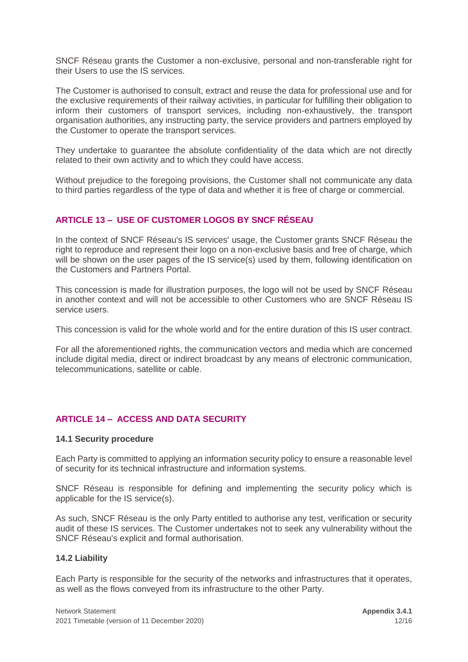SNCF Réseau grants the Customer a non-exclusive, personal and non-transferable right for their Users to use the IS services.

The Customer is authorised to consult, extract and reuse the data for professional use and for the exclusive requirements of their railway activities, in particular for fulfilling their obligation to inform their customers of transport services, including non-exhaustively, the transport organisation authorities, any instructing party, the service providers and partners employed by the Customer to operate the transport services.

They undertake to guarantee the absolute confidentiality of the data which are not directly related to their own activity and to which they could have access.

Without prejudice to the foregoing provisions, the Customer shall not communicate any data to third parties regardless of the type of data and whether it is free of charge or commercial.

### <span id="page-11-0"></span>**ARTICLE 13 – USE OF CUSTOMER LOGOS BY SNCF RÉSEAU**

In the context of SNCF Réseau's IS services' usage, the Customer grants SNCF Réseau the right to reproduce and represent their logo on a non-exclusive basis and free of charge, which will be shown on the user pages of the IS service(s) used by them, following identification on the Customers and Partners Portal.

This concession is made for illustration purposes, the logo will not be used by SNCF Réseau in another context and will not be accessible to other Customers who are SNCF Réseau IS service users.

This concession is valid for the whole world and for the entire duration of this IS user contract.

For all the aforementioned rights, the communication vectors and media which are concerned include digital media, direct or indirect broadcast by any means of electronic communication, telecommunications, satellite or cable.

# <span id="page-11-1"></span>**ARTICLE 14 – ACCESS AND DATA SECURITY**

#### **14.1 Security procedure**

Each Party is committed to applying an information security policy to ensure a reasonable level of security for its technical infrastructure and information systems.

SNCF Réseau is responsible for defining and implementing the security policy which is applicable for the IS service(s).

As such, SNCF Réseau is the only Party entitled to authorise any test, verification or security audit of these IS services. The Customer undertakes not to seek any vulnerability without the SNCF Réseau's explicit and formal authorisation.

#### **14.2 Liability**

Each Party is responsible for the security of the networks and infrastructures that it operates, as well as the flows conveyed from its infrastructure to the other Party.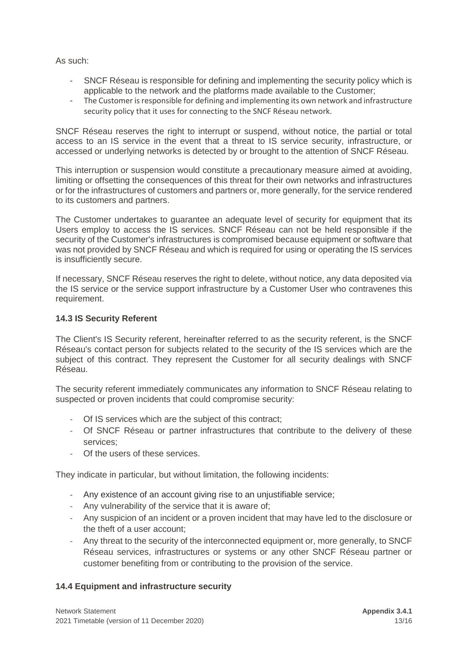As such:

- SNCF Réseau is responsible for defining and implementing the security policy which is applicable to the network and the platforms made available to the Customer;
- The Customer is responsible for defining and implementing its own network and infrastructure security policy that it uses for connecting to the SNCF Réseau network.

SNCF Réseau reserves the right to interrupt or suspend, without notice, the partial or total access to an IS service in the event that a threat to IS service security, infrastructure, or accessed or underlying networks is detected by or brought to the attention of SNCF Réseau.

This interruption or suspension would constitute a precautionary measure aimed at avoiding, limiting or offsetting the consequences of this threat for their own networks and infrastructures or for the infrastructures of customers and partners or, more generally, for the service rendered to its customers and partners.

The Customer undertakes to guarantee an adequate level of security for equipment that its Users employ to access the IS services. SNCF Réseau can not be held responsible if the security of the Customer's infrastructures is compromised because equipment or software that was not provided by SNCF Réseau and which is required for using or operating the IS services is insufficiently secure.

If necessary, SNCF Réseau reserves the right to delete, without notice, any data deposited via the IS service or the service support infrastructure by a Customer User who contravenes this requirement.

### **14.3 IS Security Referent**

The Client's IS Security referent, hereinafter referred to as the security referent, is the SNCF Réseau's contact person for subjects related to the security of the IS services which are the subject of this contract. They represent the Customer for all security dealings with SNCF Réseau.

The security referent immediately communicates any information to SNCF Réseau relating to suspected or proven incidents that could compromise security:

- Of IS services which are the subject of this contract;
- Of SNCF Réseau or partner infrastructures that contribute to the delivery of these services;
- Of the users of these services.

They indicate in particular, but without limitation, the following incidents:

- Any existence of an account giving rise to an uniustifiable service:
- Any vulnerability of the service that it is aware of;
- Any suspicion of an incident or a proven incident that may have led to the disclosure or the theft of a user account;
- Any threat to the security of the interconnected equipment or, more generally, to SNCF Réseau services, infrastructures or systems or any other SNCF Réseau partner or customer benefiting from or contributing to the provision of the service.

# **14.4 Equipment and infrastructure security**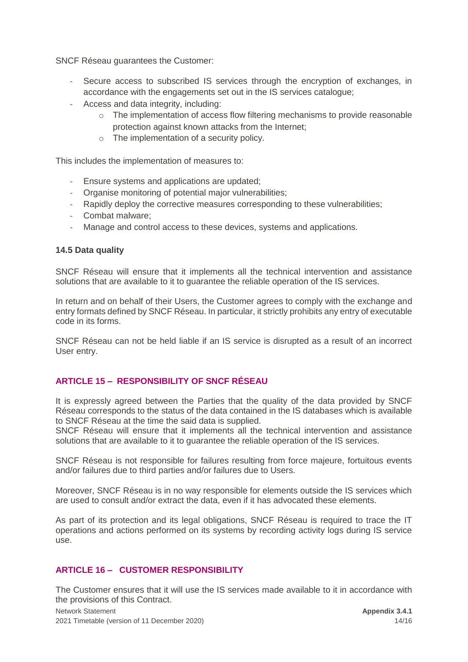SNCF Réseau guarantees the Customer:

- Secure access to subscribed IS services through the encryption of exchanges, in accordance with the engagements set out in the IS services catalogue;
- Access and data integrity, including:
	- o The implementation of access flow filtering mechanisms to provide reasonable protection against known attacks from the Internet;
	- o The implementation of a security policy.

This includes the implementation of measures to:

- Ensure systems and applications are updated;
- Organise monitoring of potential major vulnerabilities;
- Rapidly deploy the corrective measures corresponding to these vulnerabilities;
- Combat malware;
- Manage and control access to these devices, systems and applications.

#### **14.5 Data quality**

SNCF Réseau will ensure that it implements all the technical intervention and assistance solutions that are available to it to guarantee the reliable operation of the IS services.

In return and on behalf of their Users, the Customer agrees to comply with the exchange and entry formats defined by SNCF Réseau. In particular, it strictly prohibits any entry of executable code in its forms.

SNCF Réseau can not be held liable if an IS service is disrupted as a result of an incorrect User entry.

# <span id="page-13-0"></span>**ARTICLE 15 – RESPONSIBILITY OF SNCF RÉSEAU**

It is expressly agreed between the Parties that the quality of the data provided by SNCF Réseau corresponds to the status of the data contained in the IS databases which is available to SNCF Réseau at the time the said data is supplied.

SNCF Réseau will ensure that it implements all the technical intervention and assistance solutions that are available to it to guarantee the reliable operation of the IS services.

SNCF Réseau is not responsible for failures resulting from force majeure, fortuitous events and/or failures due to third parties and/or failures due to Users.

Moreover, SNCF Réseau is in no way responsible for elements outside the IS services which are used to consult and/or extract the data, even if it has advocated these elements.

As part of its protection and its legal obligations, SNCF Réseau is required to trace the IT operations and actions performed on its systems by recording activity logs during IS service use.

# <span id="page-13-1"></span>**ARTICLE 16 – CUSTOMER RESPONSIBILITY**

Network Statement **Appendix 3.4.1 Appendix 3.4.1 Appendix 3.4.1 Appendix 3.4.1** The Customer ensures that it will use the IS services made available to it in accordance with the provisions of this Contract.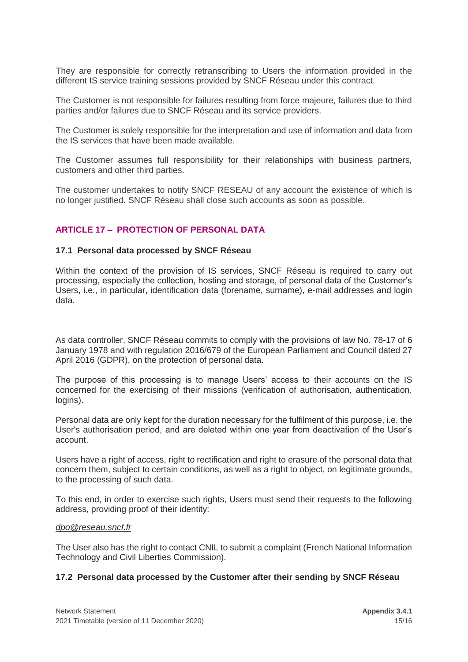They are responsible for correctly retranscribing to Users the information provided in the different IS service training sessions provided by SNCF Réseau under this contract.

The Customer is not responsible for failures resulting from force majeure, failures due to third parties and/or failures due to SNCF Réseau and its service providers.

The Customer is solely responsible for the interpretation and use of information and data from the IS services that have been made available.

The Customer assumes full responsibility for their relationships with business partners, customers and other third parties.

The customer undertakes to notify SNCF RESEAU of any account the existence of which is no longer justified. SNCF Réseau shall close such accounts as soon as possible.

### <span id="page-14-0"></span>**ARTICLE 17 – PROTECTION OF PERSONAL DATA**

#### **17.1 Personal data processed by SNCF Réseau**

Within the context of the provision of IS services, SNCF Réseau is required to carry out processing, especially the collection, hosting and storage, of personal data of the Customer's Users, i.e., in particular, identification data (forename, surname), e-mail addresses and login data.

As data controller, SNCF Réseau commits to comply with the provisions of law No. 78-17 of 6 January 1978 and with regulation 2016/679 of the European Parliament and Council dated 27 April 2016 (GDPR), on the protection of personal data.

The purpose of this processing is to manage Users' access to their accounts on the IS concerned for the exercising of their missions (verification of authorisation, authentication, logins).

Personal data are only kept for the duration necessary for the fulfilment of this purpose, i.e. the User's authorisation period, and are deleted within one year from deactivation of the User's account.

Users have a right of access, right to rectification and right to erasure of the personal data that concern them, subject to certain conditions, as well as a right to object, on legitimate grounds, to the processing of such data.

To this end, in order to exercise such rights, Users must send their requests to the following address, providing proof of their identity:

#### *[dpo@reseau.sncf.fr](mailto:dpo@reseau.sncf.fr)*

The User also has the right to contact CNIL to submit a complaint (French National Information Technology and Civil Liberties Commission).

#### **17.2 Personal data processed by the Customer after their sending by SNCF Réseau**